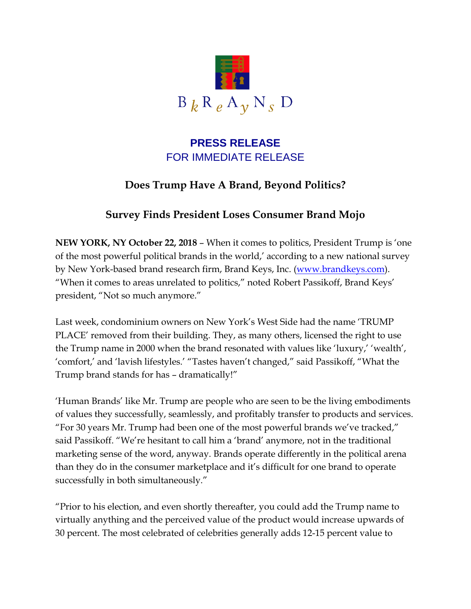

## **PRESS RELEASE** FOR IMMEDIATE RELEASE

# **Does Trump Have A Brand, Beyond Politics?**

# **Survey Finds President Loses Consumer Brand Mojo**

**NEW YORK, NY October 22, 2018** – When it comes to politics, President Trump is 'one of the most powerful political brands in the world,' according to a new national survey by New York-based brand research firm, Brand Keys, Inc. [\(www.brandkeys.com\)](http://www.brandkeys.com/). "When it comes to areas unrelated to politics," noted Robert Passikoff, Brand Keys' president, "Not so much anymore."

Last week, condominium owners on New York's West Side had the name 'TRUMP PLACE' removed from their building. They, as many others, licensed the right to use the Trump name in 2000 when the brand resonated with values like 'luxury,' 'wealth', 'comfort,' and 'lavish lifestyles.' "Tastes haven't changed," said Passikoff, "What the Trump brand stands for has – dramatically!"

'Human Brands' like Mr. Trump are people who are seen to be the living embodiments of values they successfully, seamlessly, and profitably transfer to products and services. "For 30 years Mr. Trump had been one of the most powerful brands we've tracked," said Passikoff. "We're hesitant to call him a 'brand' anymore, not in the traditional marketing sense of the word, anyway. Brands operate differently in the political arena than they do in the consumer marketplace and it's difficult for one brand to operate successfully in both simultaneously."

"Prior to his election, and even shortly thereafter, you could add the Trump name to virtually anything and the perceived value of the product would increase upwards of 30 percent. The most celebrated of celebrities generally adds 12-15 percent value to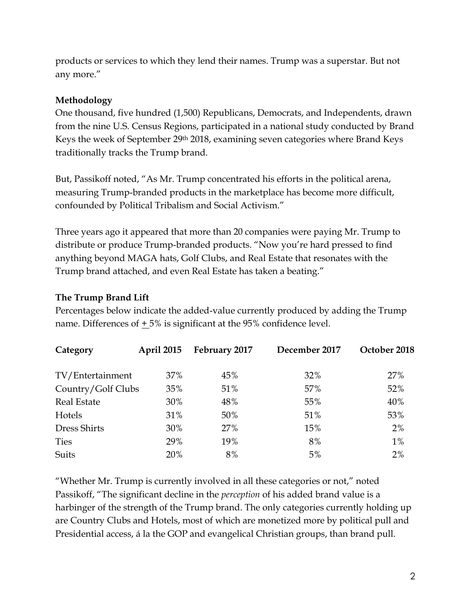products or services to which they lend their names. Trump was a superstar. But not any more."

### **Methodology**

One thousand, five hundred (1,500) Republicans, Democrats, and Independents, drawn from the nine U.S. Census Regions, participated in a national study conducted by Brand Keys the week of September 29th 2018, examining seven categories where Brand Keys traditionally tracks the Trump brand.

But, Passikoff noted, "As Mr. Trump concentrated his efforts in the political arena, measuring Trump-branded products in the marketplace has become more difficult, confounded by Political Tribalism and Social Activism."

Three years ago it appeared that more than 20 companies were paying Mr. Trump to distribute or produce Trump-branded products. "Now you're hard pressed to find anything beyond MAGA hats, Golf Clubs, and Real Estate that resonates with the Trump brand attached, and even Real Estate has taken a beating."

### **The Trump Brand Lift**

Percentages below indicate the added-value currently produced by adding the Trump name. Differences of  $\pm 5\%$  is significant at the 95% confidence level.

| Category           | <b>April 2015</b> | February 2017 | December 2017 | October 2018 |
|--------------------|-------------------|---------------|---------------|--------------|
| TV/Entertainment   | 37%               | 45%           | 32%           | 27%          |
| Country/Golf Clubs | 35%               | 51%           | 57%           | 52%          |
| <b>Real Estate</b> | 30%               | 48%           | 55%           | 40%          |
| Hotels             | 31%               | 50%           | 51%           | 53%          |
| Dress Shirts       | 30%               | 27%           | 15%           | 2%           |
| <b>Ties</b>        | 29%               | 19%           | 8%            | $1\%$        |
| Suits              | 20%               | 8%            | 5%            | 2%           |

"Whether Mr. Trump is currently involved in all these categories or not," noted Passikoff, "The significant decline in the *perception* of his added brand value is a harbinger of the strength of the Trump brand. The only categories currently holding up are Country Clubs and Hotels, most of which are monetized more by political pull and Presidential access, á la the GOP and evangelical Christian groups, than brand pull.